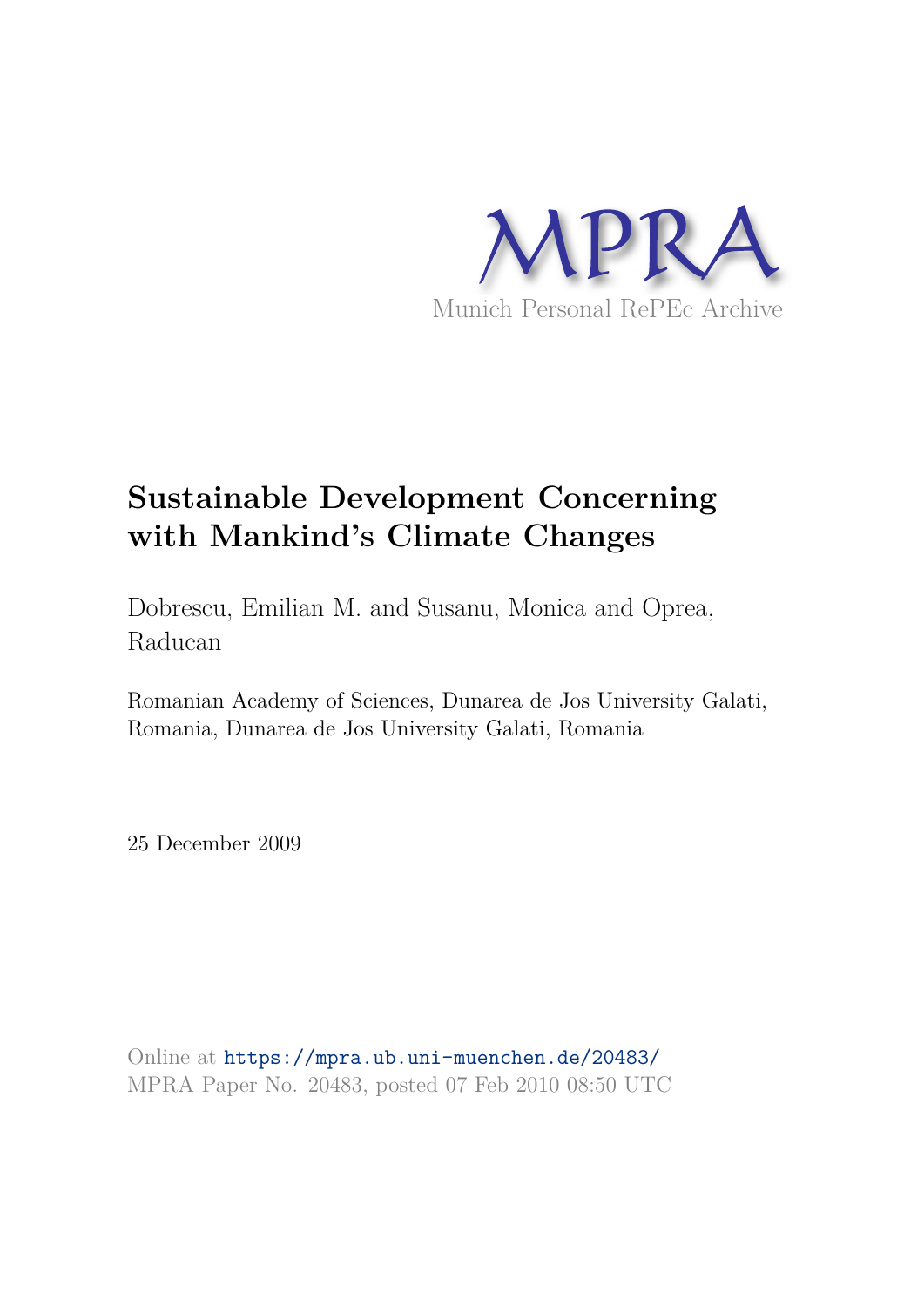

# **Sustainable Development Concerning with Mankind's Climate Changes**

Dobrescu, Emilian M. and Susanu, Monica and Oprea, Raducan

Romanian Academy of Sciences, Dunarea de Jos University Galati, Romania, Dunarea de Jos University Galati, Romania

25 December 2009

Online at https://mpra.ub.uni-muenchen.de/20483/ MPRA Paper No. 20483, posted 07 Feb 2010 08:50 UTC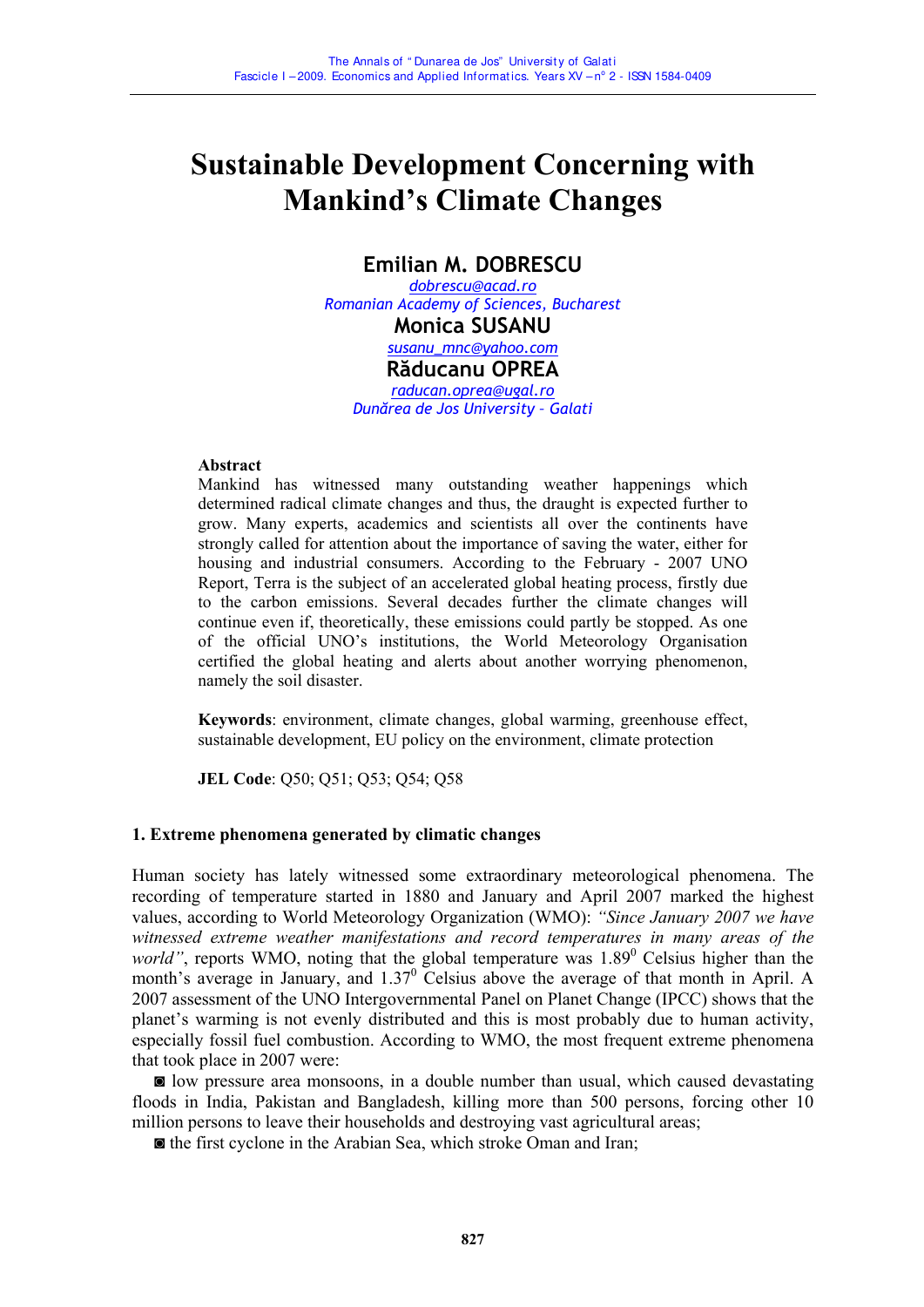## **Sustainable Development Concerning with Mankind's Climate Changes**

## **Emilian M. DOBRESCU**

*dobrescu@acad.ro Romanian Academy of Sciences, Bucharest*  **Monica SUSANU**  *susanu\_mnc@yahoo.com* **Răducanu OPREA** *raducan.oprea@ugal.ro Dunărea de Jos University – Galati*

#### **Abstract**

Mankind has witnessed many outstanding weather happenings which determined radical climate changes and thus, the draught is expected further to grow. Many experts, academics and scientists all over the continents have strongly called for attention about the importance of saving the water, either for housing and industrial consumers. According to the February - 2007 UNO Report, Terra is the subject of an accelerated global heating process, firstly due to the carbon emissions. Several decades further the climate changes will continue even if, theoretically, these emissions could partly be stopped. As one of the official UNO's institutions, the World Meteorology Organisation certified the global heating and alerts about another worrying phenomenon, namely the soil disaster.

**Keywords**: environment, climate changes, global warming, greenhouse effect, sustainable development, EU policy on the environment, climate protection

**JEL Code**: Q50; Q51; Q53; Q54; Q58

#### **1. Extreme phenomena generated by climatic changes**

Human society has lately witnessed some extraordinary meteorological phenomena. The recording of temperature started in 1880 and January and April 2007 marked the highest values, according to World Meteorology Organization (WMO): *"Since January 2007 we have witnessed extreme weather manifestations and record temperatures in many areas of the*  world", reports WMO, noting that the global temperature was 1.89<sup>0</sup> Celsius higher than the month's average in January, and  $1.37<sup>0</sup>$  Celsius above the average of that month in April. A 2007 assessment of the UNO Intergovernmental Panel on Planet Change (IPCC) shows that the planet's warming is not evenly distributed and this is most probably due to human activity, especially fossil fuel combustion. According to WMO, the most frequent extreme phenomena that took place in 2007 were:

 ◙ low pressure area monsoons, in a double number than usual, which caused devastating floods in India, Pakistan and Bangladesh, killing more than 500 persons, forcing other 10 million persons to leave their households and destroying vast agricultural areas;

◙ the first cyclone in the Arabian Sea, which stroke Oman and Iran;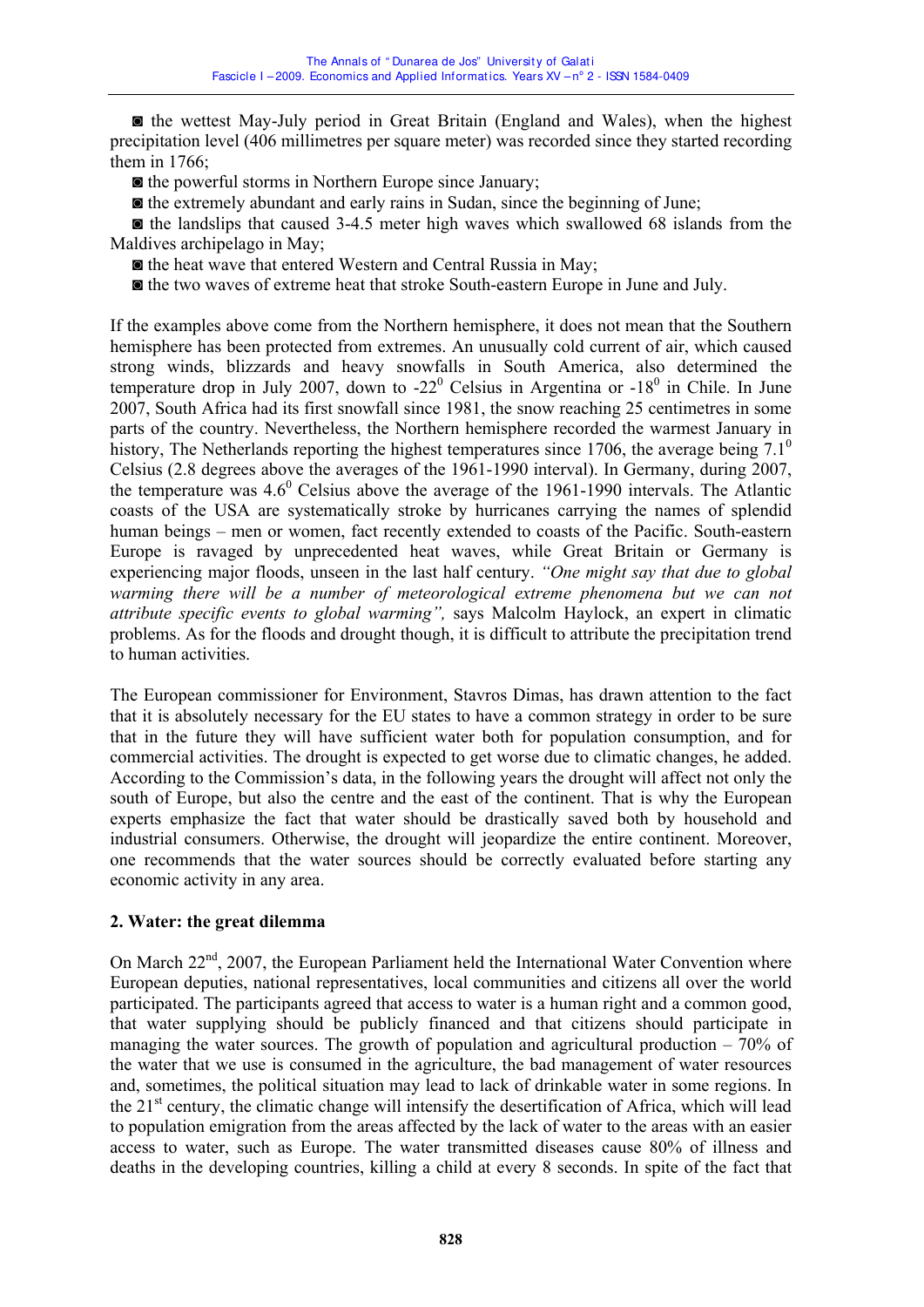◙ the wettest May-July period in Great Britain (England and Wales), when the highest precipitation level (406 millimetres per square meter) was recorded since they started recording them in 1766;

◙ the powerful storms in Northern Europe since January;

◙ the extremely abundant and early rains in Sudan, since the beginning of June;

 ◙ the landslips that caused 3-4.5 meter high waves which swallowed 68 islands from the Maldives archipelago in May;

◙ the heat wave that entered Western and Central Russia in May;

◙ the two waves of extreme heat that stroke South-eastern Europe in June and July.

If the examples above come from the Northern hemisphere, it does not mean that the Southern hemisphere has been protected from extremes. An unusually cold current of air, which caused strong winds, blizzards and heavy snowfalls in South America, also determined the temperature drop in July 2007, down to  $-22^{\circ}$  Celsius in Argentina or  $-18^{\circ}$  in Chile. In June 2007, South Africa had its first snowfall since 1981, the snow reaching 25 centimetres in some parts of the country. Nevertheless, the Northern hemisphere recorded the warmest January in history, The Netherlands reporting the highest temperatures since 1706, the average being  $7.1^\circ$ Celsius (2.8 degrees above the averages of the 1961-1990 interval). In Germany, during 2007, the temperature was  $4.6^{\circ}$  Celsius above the average of the 1961-1990 intervals. The Atlantic coasts of the USA are systematically stroke by hurricanes carrying the names of splendid human beings – men or women, fact recently extended to coasts of the Pacific. South-eastern Europe is ravaged by unprecedented heat waves, while Great Britain or Germany is experiencing major floods, unseen in the last half century. *"One might say that due to global warming there will be a number of meteorological extreme phenomena but we can not attribute specific events to global warming",* says Malcolm Haylock, an expert in climatic problems. As for the floods and drought though, it is difficult to attribute the precipitation trend to human activities.

The European commissioner for Environment, Stavros Dimas, has drawn attention to the fact that it is absolutely necessary for the EU states to have a common strategy in order to be sure that in the future they will have sufficient water both for population consumption, and for commercial activities. The drought is expected to get worse due to climatic changes, he added. According to the Commission's data, in the following years the drought will affect not only the south of Europe, but also the centre and the east of the continent. That is why the European experts emphasize the fact that water should be drastically saved both by household and industrial consumers. Otherwise, the drought will jeopardize the entire continent. Moreover, one recommends that the water sources should be correctly evaluated before starting any economic activity in any area.

### **2. Water: the great dilemma**

On March 22<sup>nd</sup>, 2007, the European Parliament held the International Water Convention where European deputies, national representatives, local communities and citizens all over the world participated. The participants agreed that access to water is a human right and a common good, that water supplying should be publicly financed and that citizens should participate in managing the water sources. The growth of population and agricultural production  $-70\%$  of the water that we use is consumed in the agriculture, the bad management of water resources and, sometimes, the political situation may lead to lack of drinkable water in some regions. In the  $21<sup>st</sup>$  century, the climatic change will intensify the desertification of Africa, which will lead to population emigration from the areas affected by the lack of water to the areas with an easier access to water, such as Europe. The water transmitted diseases cause 80% of illness and deaths in the developing countries, killing a child at every 8 seconds. In spite of the fact that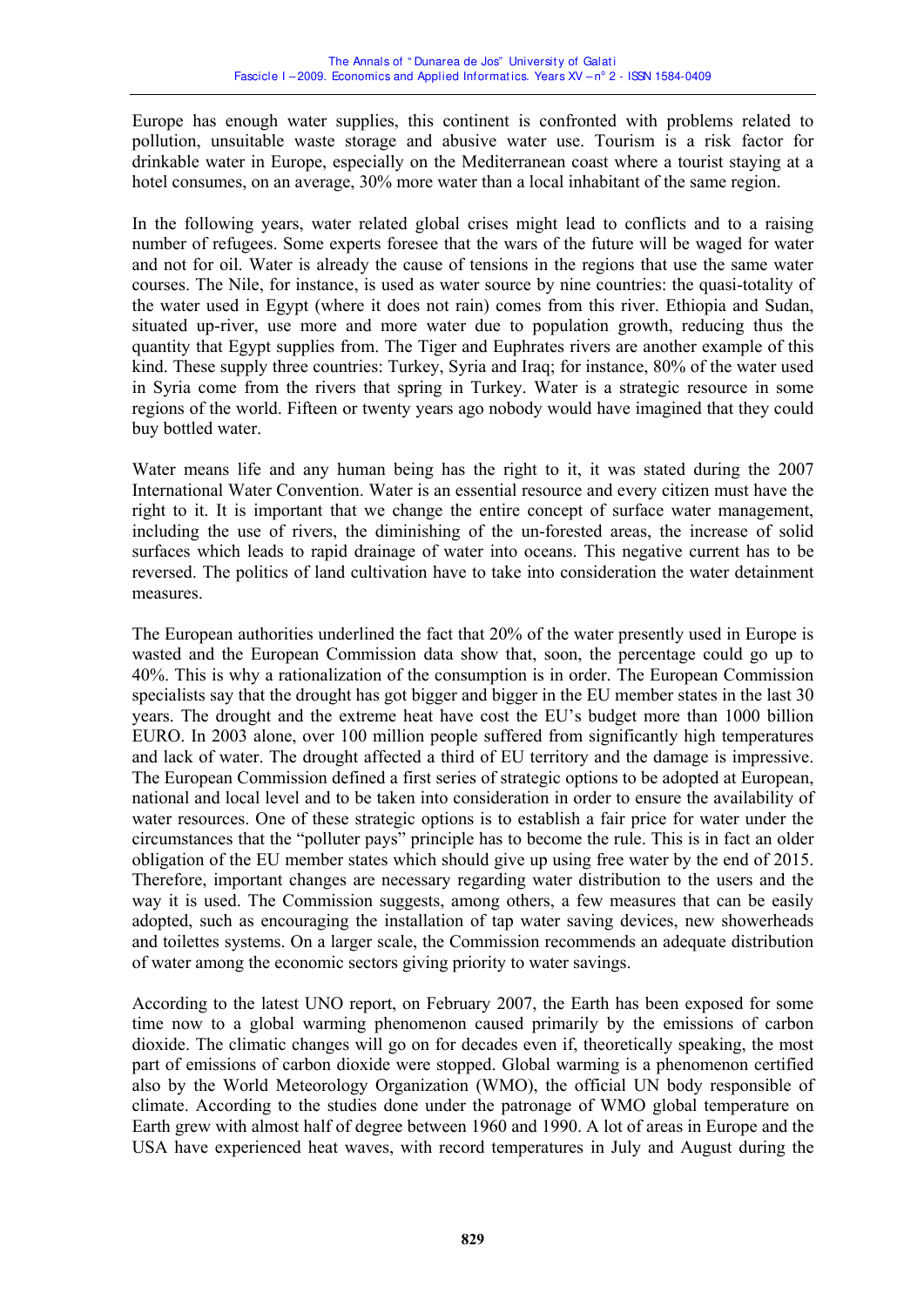Europe has enough water supplies, this continent is confronted with problems related to pollution, unsuitable waste storage and abusive water use. Tourism is a risk factor for drinkable water in Europe, especially on the Mediterranean coast where a tourist staying at a hotel consumes, on an average, 30% more water than a local inhabitant of the same region.

In the following years, water related global crises might lead to conflicts and to a raising number of refugees. Some experts foresee that the wars of the future will be waged for water and not for oil. Water is already the cause of tensions in the regions that use the same water courses. The Nile, for instance, is used as water source by nine countries: the quasi-totality of the water used in Egypt (where it does not rain) comes from this river. Ethiopia and Sudan, situated up-river, use more and more water due to population growth, reducing thus the quantity that Egypt supplies from. The Tiger and Euphrates rivers are another example of this kind. These supply three countries: Turkey, Syria and Iraq; for instance, 80% of the water used in Syria come from the rivers that spring in Turkey. Water is a strategic resource in some regions of the world. Fifteen or twenty years ago nobody would have imagined that they could buy bottled water.

Water means life and any human being has the right to it, it was stated during the 2007 International Water Convention. Water is an essential resource and every citizen must have the right to it. It is important that we change the entire concept of surface water management, including the use of rivers, the diminishing of the un-forested areas, the increase of solid surfaces which leads to rapid drainage of water into oceans. This negative current has to be reversed. The politics of land cultivation have to take into consideration the water detainment measures.

The European authorities underlined the fact that 20% of the water presently used in Europe is wasted and the European Commission data show that, soon, the percentage could go up to 40%. This is why a rationalization of the consumption is in order. The European Commission specialists say that the drought has got bigger and bigger in the EU member states in the last 30 years. The drought and the extreme heat have cost the EU's budget more than 1000 billion EURO. In 2003 alone, over 100 million people suffered from significantly high temperatures and lack of water. The drought affected a third of EU territory and the damage is impressive. The European Commission defined a first series of strategic options to be adopted at European, national and local level and to be taken into consideration in order to ensure the availability of water resources. One of these strategic options is to establish a fair price for water under the circumstances that the "polluter pays" principle has to become the rule. This is in fact an older obligation of the EU member states which should give up using free water by the end of 2015. Therefore, important changes are necessary regarding water distribution to the users and the way it is used. The Commission suggests, among others, a few measures that can be easily adopted, such as encouraging the installation of tap water saving devices, new showerheads and toilettes systems. On a larger scale, the Commission recommends an adequate distribution of water among the economic sectors giving priority to water savings.

According to the latest UNO report, on February 2007, the Earth has been exposed for some time now to a global warming phenomenon caused primarily by the emissions of carbon dioxide. The climatic changes will go on for decades even if, theoretically speaking, the most part of emissions of carbon dioxide were stopped. Global warming is a phenomenon certified also by the World Meteorology Organization (WMO), the official UN body responsible of climate. According to the studies done under the patronage of WMO global temperature on Earth grew with almost half of degree between 1960 and 1990. A lot of areas in Europe and the USA have experienced heat waves, with record temperatures in July and August during the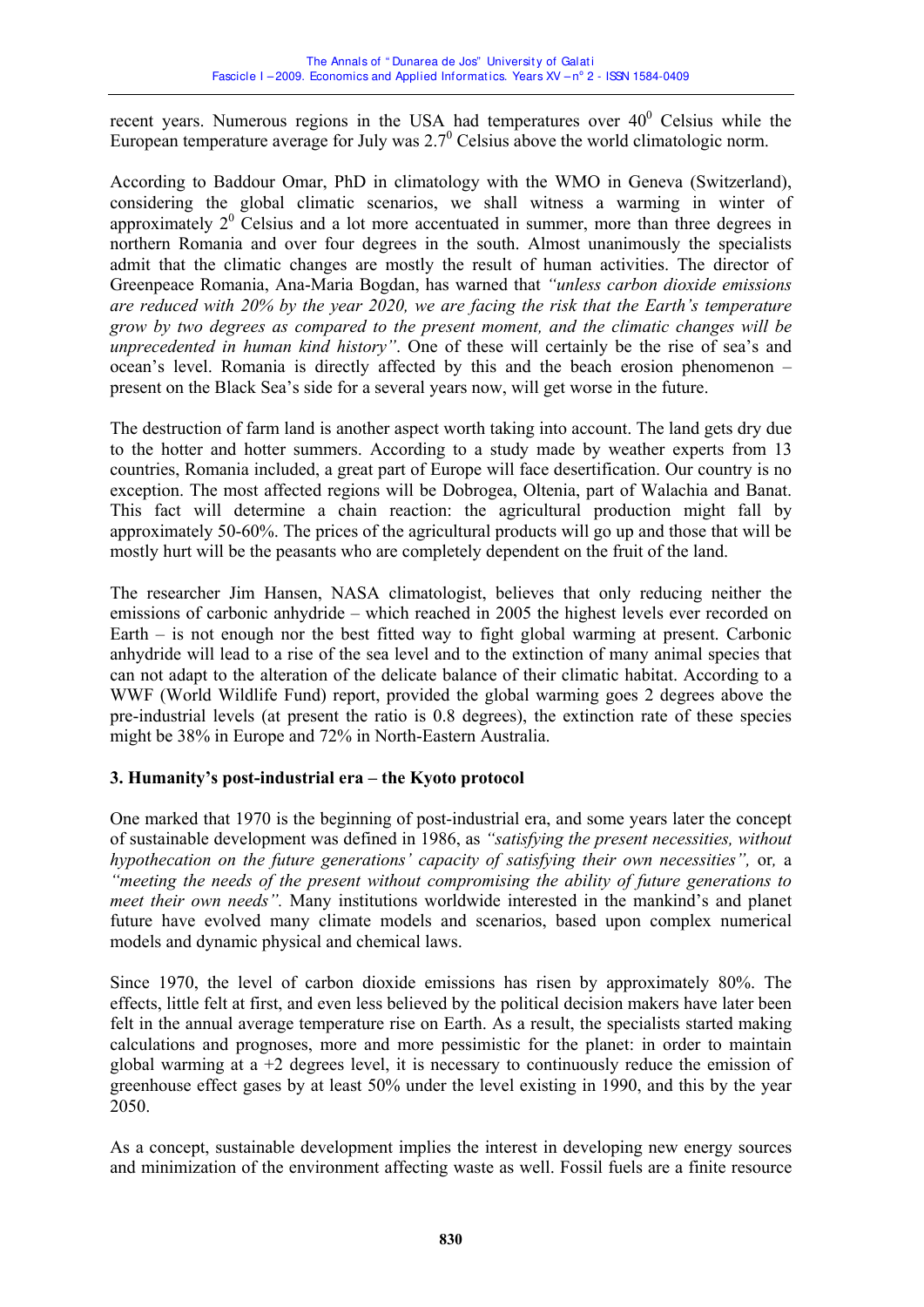recent years. Numerous regions in the USA had temperatures over  $40^{\circ}$  Celsius while the European temperature average for July was  $2.7^\circ$  Celsius above the world climatologic norm.

According to Baddour Omar, PhD in climatology with the WMO in Geneva (Switzerland), considering the global climatic scenarios, we shall witness a warming in winter of approximately  $2^0$  Celsius and a lot more accentuated in summer, more than three degrees in northern Romania and over four degrees in the south. Almost unanimously the specialists admit that the climatic changes are mostly the result of human activities. The director of Greenpeace Romania, Ana-Maria Bogdan, has warned that *"unless carbon dioxide emissions are reduced with 20% by the year 2020, we are facing the risk that the Earth's temperature grow by two degrees as compared to the present moment, and the climatic changes will be unprecedented in human kind history"*. One of these will certainly be the rise of sea's and ocean's level. Romania is directly affected by this and the beach erosion phenomenon – present on the Black Sea's side for a several years now, will get worse in the future.

The destruction of farm land is another aspect worth taking into account. The land gets dry due to the hotter and hotter summers. According to a study made by weather experts from 13 countries, Romania included, a great part of Europe will face desertification. Our country is no exception. The most affected regions will be Dobrogea, Oltenia, part of Walachia and Banat. This fact will determine a chain reaction: the agricultural production might fall by approximately 50-60%. The prices of the agricultural products will go up and those that will be mostly hurt will be the peasants who are completely dependent on the fruit of the land.

The researcher Jim Hansen, NASA climatologist, believes that only reducing neither the emissions of carbonic anhydride – which reached in 2005 the highest levels ever recorded on Earth – is not enough nor the best fitted way to fight global warming at present. Carbonic anhydride will lead to a rise of the sea level and to the extinction of many animal species that can not adapt to the alteration of the delicate balance of their climatic habitat. According to a WWF (World Wildlife Fund) report, provided the global warming goes 2 degrees above the pre-industrial levels (at present the ratio is 0.8 degrees), the extinction rate of these species might be 38% in Europe and 72% in North-Eastern Australia.

### **3. Humanity's post-industrial era – the Kyoto protocol**

One marked that 1970 is the beginning of post-industrial era, and some years later the concept of sustainable development was defined in 1986, as *"satisfying the present necessities, without hypothecation on the future generations' capacity of satisfying their own necessities",* or*,* a *"meeting the needs of the present without compromising the ability of future generations to meet their own needs".* Many institutions worldwide interested in the mankind's and planet future have evolved many climate models and scenarios, based upon complex numerical models and dynamic physical and chemical laws.

Since 1970, the level of carbon dioxide emissions has risen by approximately 80%. The effects, little felt at first, and even less believed by the political decision makers have later been felt in the annual average temperature rise on Earth. As a result, the specialists started making calculations and prognoses, more and more pessimistic for the planet: in order to maintain global warming at  $a + 2$  degrees level, it is necessary to continuously reduce the emission of greenhouse effect gases by at least 50% under the level existing in 1990, and this by the year 2050.

As a concept, sustainable development implies the interest in developing new energy sources and minimization of the environment affecting waste as well. Fossil fuels are a finite resource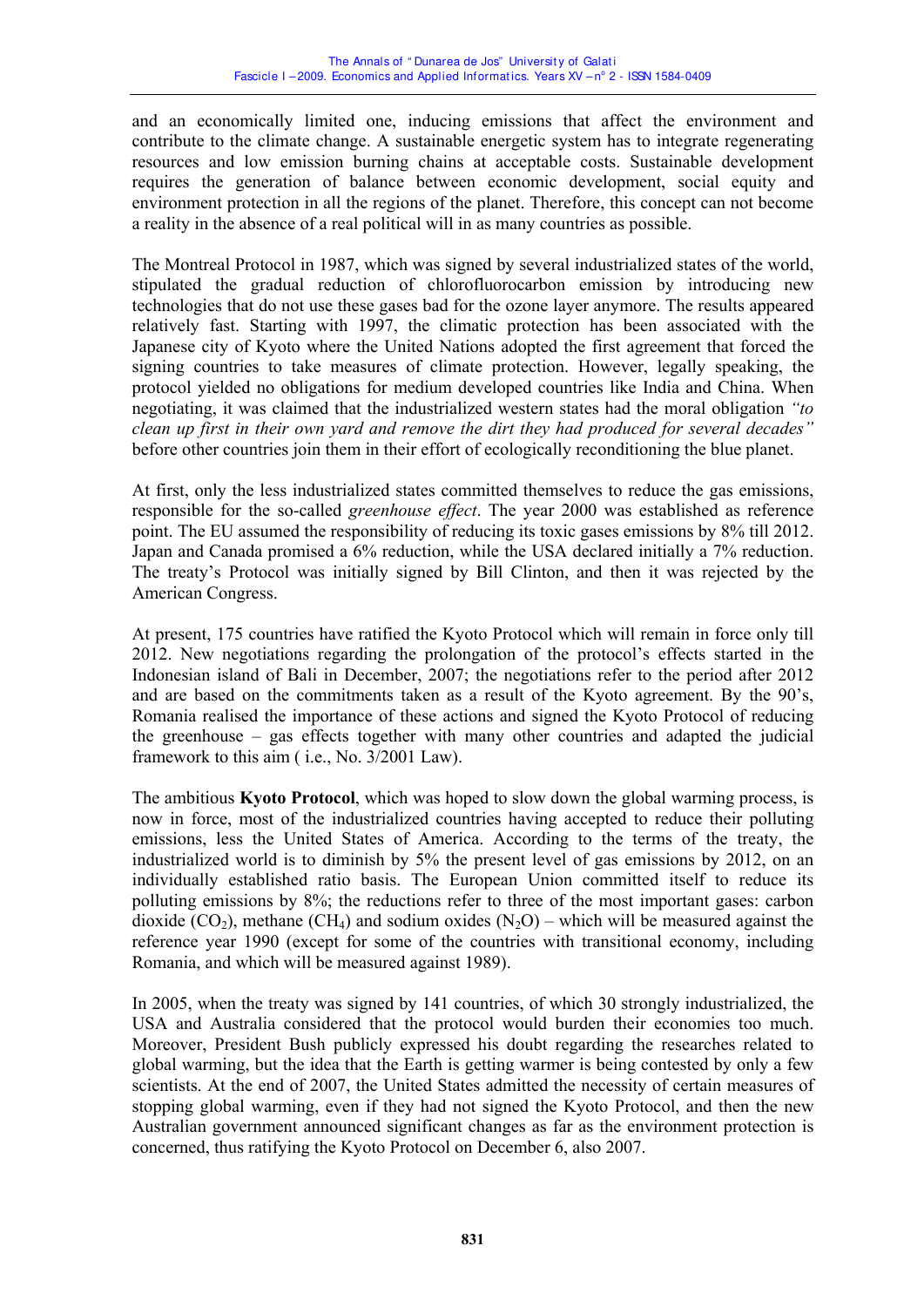and an economically limited one, inducing emissions that affect the environment and contribute to the climate change. A sustainable energetic system has to integrate regenerating resources and low emission burning chains at acceptable costs. Sustainable development requires the generation of balance between economic development, social equity and environment protection in all the regions of the planet. Therefore, this concept can not become a reality in the absence of a real political will in as many countries as possible.

The Montreal Protocol in 1987, which was signed by several industrialized states of the world, stipulated the gradual reduction of chlorofluorocarbon emission by introducing new technologies that do not use these gases bad for the ozone layer anymore. The results appeared relatively fast. Starting with 1997, the climatic protection has been associated with the Japanese city of Kyoto where the United Nations adopted the first agreement that forced the signing countries to take measures of climate protection. However, legally speaking, the protocol yielded no obligations for medium developed countries like India and China. When negotiating, it was claimed that the industrialized western states had the moral obligation *"to clean up first in their own yard and remove the dirt they had produced for several decades"* before other countries join them in their effort of ecologically reconditioning the blue planet.

At first, only the less industrialized states committed themselves to reduce the gas emissions, responsible for the so-called *greenhouse effect*. The year 2000 was established as reference point. The EU assumed the responsibility of reducing its toxic gases emissions by 8% till 2012. Japan and Canada promised a 6% reduction, while the USA declared initially a 7% reduction. The treaty's Protocol was initially signed by Bill Clinton, and then it was rejected by the American Congress.

At present, 175 countries have ratified the Kyoto Protocol which will remain in force only till 2012. New negotiations regarding the prolongation of the protocol's effects started in the Indonesian island of Bali in December, 2007; the negotiations refer to the period after 2012 and are based on the commitments taken as a result of the Kyoto agreement. By the 90's, Romania realised the importance of these actions and signed the Kyoto Protocol of reducing the greenhouse – gas effects together with many other countries and adapted the judicial framework to this aim ( i.e., No. 3/2001 Law).

The ambitious **Kyoto Protocol**, which was hoped to slow down the global warming process, is now in force, most of the industrialized countries having accepted to reduce their polluting emissions, less the United States of America. According to the terms of the treaty, the industrialized world is to diminish by 5% the present level of gas emissions by 2012, on an individually established ratio basis. The European Union committed itself to reduce its polluting emissions by 8%; the reductions refer to three of the most important gases: carbon dioxide  $(CO_2)$ , methane  $(CH_4)$  and sodium oxides  $(N_2O)$  – which will be measured against the reference year 1990 (except for some of the countries with transitional economy, including Romania, and which will be measured against 1989).

In 2005, when the treaty was signed by 141 countries, of which 30 strongly industrialized, the USA and Australia considered that the protocol would burden their economies too much. Moreover, President Bush publicly expressed his doubt regarding the researches related to global warming, but the idea that the Earth is getting warmer is being contested by only a few scientists. At the end of 2007, the United States admitted the necessity of certain measures of stopping global warming, even if they had not signed the Kyoto Protocol, and then the new Australian government announced significant changes as far as the environment protection is concerned, thus ratifying the Kyoto Protocol on December 6, also 2007.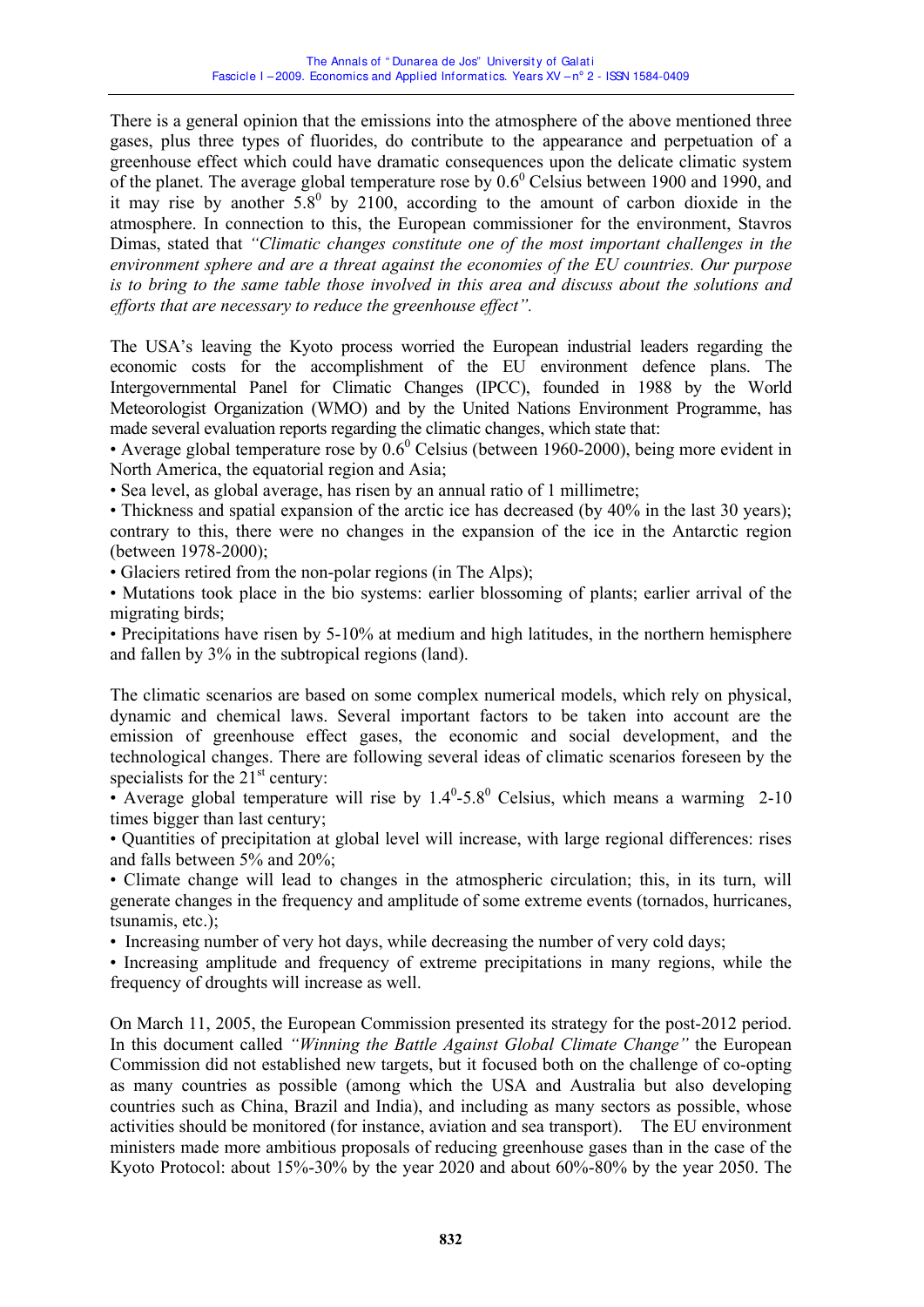There is a general opinion that the emissions into the atmosphere of the above mentioned three gases, plus three types of fluorides, do contribute to the appearance and perpetuation of a greenhouse effect which could have dramatic consequences upon the delicate climatic system of the planet. The average global temperature rose by  $0.6^{\circ}$  Celsius between 1900 and 1990, and it may rise by another  $5.8^{\circ}$  by 2100, according to the amount of carbon dioxide in the atmosphere. In connection to this, the European commissioner for the environment, Stavros Dimas, stated that *"Climatic changes constitute one of the most important challenges in the environment sphere and are a threat against the economies of the EU countries. Our purpose is to bring to the same table those involved in this area and discuss about the solutions and efforts that are necessary to reduce the greenhouse effect".* 

The USA's leaving the Kyoto process worried the European industrial leaders regarding the economic costs for the accomplishment of the EU environment defence plans. The Intergovernmental Panel for Climatic Changes (IPCC), founded in 1988 by the World Meteorologist Organization (WMO) and by the United Nations Environment Programme, has made several evaluation reports regarding the climatic changes, which state that:

• Average global temperature rose by  $0.6^{\circ}$  Celsius (between 1960-2000), being more evident in North America, the equatorial region and Asia;

• Sea level, as global average, has risen by an annual ratio of 1 millimetre;

• Thickness and spatial expansion of the arctic ice has decreased (by 40% in the last 30 years); contrary to this, there were no changes in the expansion of the ice in the Antarctic region (between 1978-2000);

• Glaciers retired from the non-polar regions (in The Alps);

ï Mutations took place in the bio systems: earlier blossoming of plants; earlier arrival of the migrating birds;

• Precipitations have risen by 5-10% at medium and high latitudes, in the northern hemisphere and fallen by 3% in the subtropical regions (land).

The climatic scenarios are based on some complex numerical models, which rely on physical, dynamic and chemical laws. Several important factors to be taken into account are the emission of greenhouse effect gases, the economic and social development, and the technological changes. There are following several ideas of climatic scenarios foreseen by the specialists for the  $21<sup>st</sup>$  century:

• Average global temperature will rise by  $1.4^{\circ}$ -5.8<sup>°</sup> Celsius, which means a warming 2-10 times bigger than last century;

ï Quantities of precipitation at global level will increase, with large regional differences: rises and falls between 5% and 20%;

ï Climate change will lead to changes in the atmospheric circulation; this, in its turn, will generate changes in the frequency and amplitude of some extreme events (tornados, hurricanes, tsunamis, etc.);

• Increasing number of very hot days, while decreasing the number of very cold days;

• Increasing amplitude and frequency of extreme precipitations in many regions, while the frequency of droughts will increase as well.

On March 11, 2005, the European Commission presented its strategy for the post-2012 period. In this document called *"Winning the Battle Against Global Climate Change"* the European Commission did not established new targets, but it focused both on the challenge of co-opting as many countries as possible (among which the USA and Australia but also developing countries such as China, Brazil and India), and including as many sectors as possible, whose activities should be monitored (for instance, aviation and sea transport). The EU environment ministers made more ambitious proposals of reducing greenhouse gases than in the case of the Kyoto Protocol: about 15%-30% by the year 2020 and about 60%-80% by the year 2050. The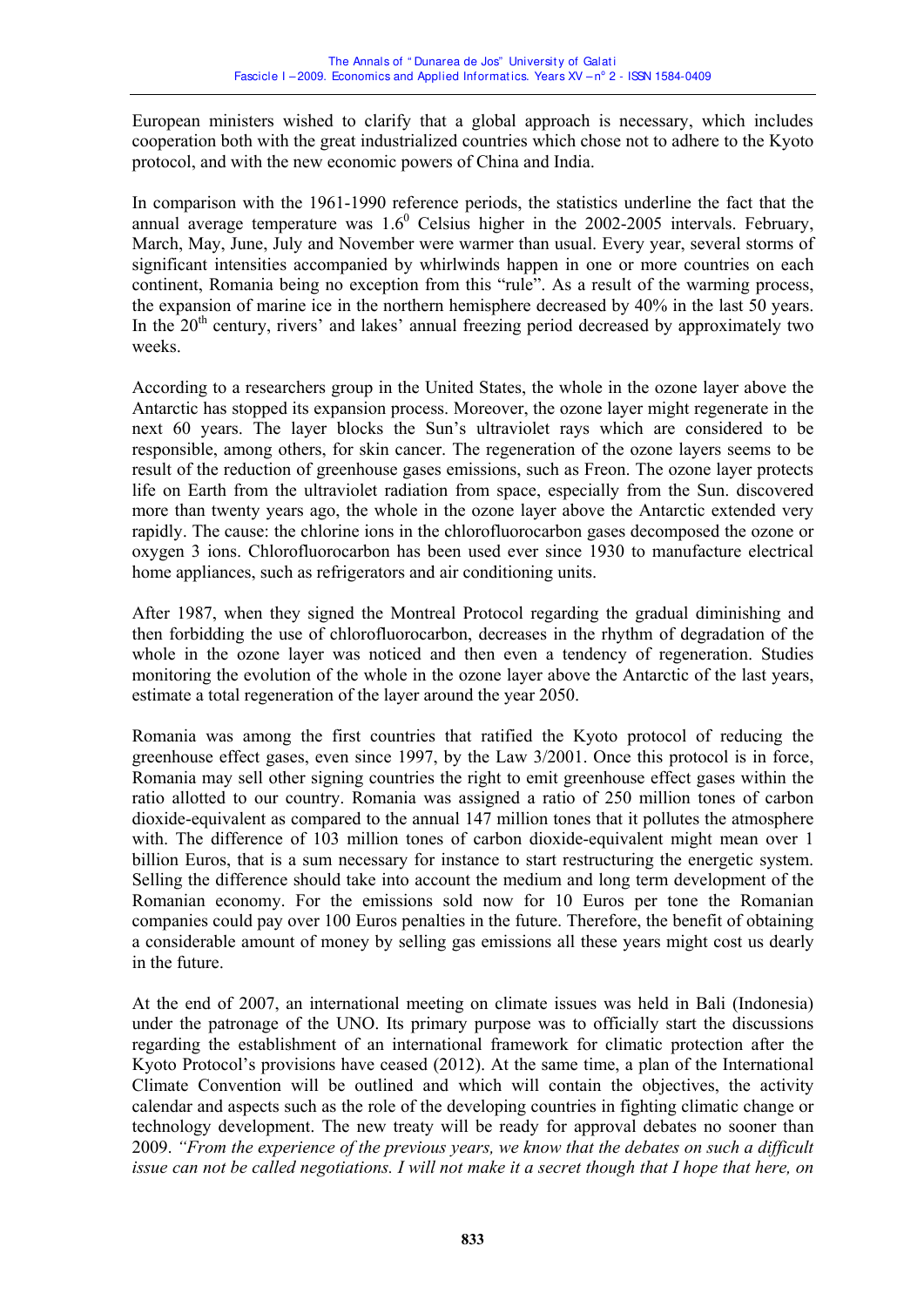European ministers wished to clarify that a global approach is necessary, which includes cooperation both with the great industrialized countries which chose not to adhere to the Kyoto protocol, and with the new economic powers of China and India.

In comparison with the 1961-1990 reference periods, the statistics underline the fact that the annual average temperature was  $1.6^{\circ}$  Celsius higher in the 2002-2005 intervals. February, March, May, June, July and November were warmer than usual. Every year, several storms of significant intensities accompanied by whirlwinds happen in one or more countries on each continent, Romania being no exception from this "rule". As a result of the warming process, the expansion of marine ice in the northern hemisphere decreased by 40% in the last 50 years. In the  $20<sup>th</sup>$  century, rivers' and lakes' annual freezing period decreased by approximately two weeks.

According to a researchers group in the United States, the whole in the ozone layer above the Antarctic has stopped its expansion process. Moreover, the ozone layer might regenerate in the next 60 years. The layer blocks the Sun's ultraviolet rays which are considered to be responsible, among others, for skin cancer. The regeneration of the ozone layers seems to be result of the reduction of greenhouse gases emissions, such as Freon. The ozone layer protects life on Earth from the ultraviolet radiation from space, especially from the Sun. discovered more than twenty years ago, the whole in the ozone layer above the Antarctic extended very rapidly. The cause: the chlorine ions in the chlorofluorocarbon gases decomposed the ozone or oxygen 3 ions. Chlorofluorocarbon has been used ever since 1930 to manufacture electrical home appliances, such as refrigerators and air conditioning units.

After 1987, when they signed the Montreal Protocol regarding the gradual diminishing and then forbidding the use of chlorofluorocarbon, decreases in the rhythm of degradation of the whole in the ozone layer was noticed and then even a tendency of regeneration. Studies monitoring the evolution of the whole in the ozone layer above the Antarctic of the last years, estimate a total regeneration of the layer around the year 2050.

Romania was among the first countries that ratified the Kyoto protocol of reducing the greenhouse effect gases, even since 1997, by the Law 3/2001. Once this protocol is in force, Romania may sell other signing countries the right to emit greenhouse effect gases within the ratio allotted to our country. Romania was assigned a ratio of 250 million tones of carbon dioxide-equivalent as compared to the annual 147 million tones that it pollutes the atmosphere with. The difference of 103 million tones of carbon dioxide-equivalent might mean over 1 billion Euros, that is a sum necessary for instance to start restructuring the energetic system. Selling the difference should take into account the medium and long term development of the Romanian economy. For the emissions sold now for 10 Euros per tone the Romanian companies could pay over 100 Euros penalties in the future. Therefore, the benefit of obtaining a considerable amount of money by selling gas emissions all these years might cost us dearly in the future.

At the end of 2007, an international meeting on climate issues was held in Bali (Indonesia) under the patronage of the UNO. Its primary purpose was to officially start the discussions regarding the establishment of an international framework for climatic protection after the Kyoto Protocol's provisions have ceased (2012). At the same time, a plan of the International Climate Convention will be outlined and which will contain the objectives, the activity calendar and aspects such as the role of the developing countries in fighting climatic change or technology development. The new treaty will be ready for approval debates no sooner than 2009. *"From the experience of the previous years, we know that the debates on such a difficult issue can not be called negotiations. I will not make it a secret though that I hope that here, on*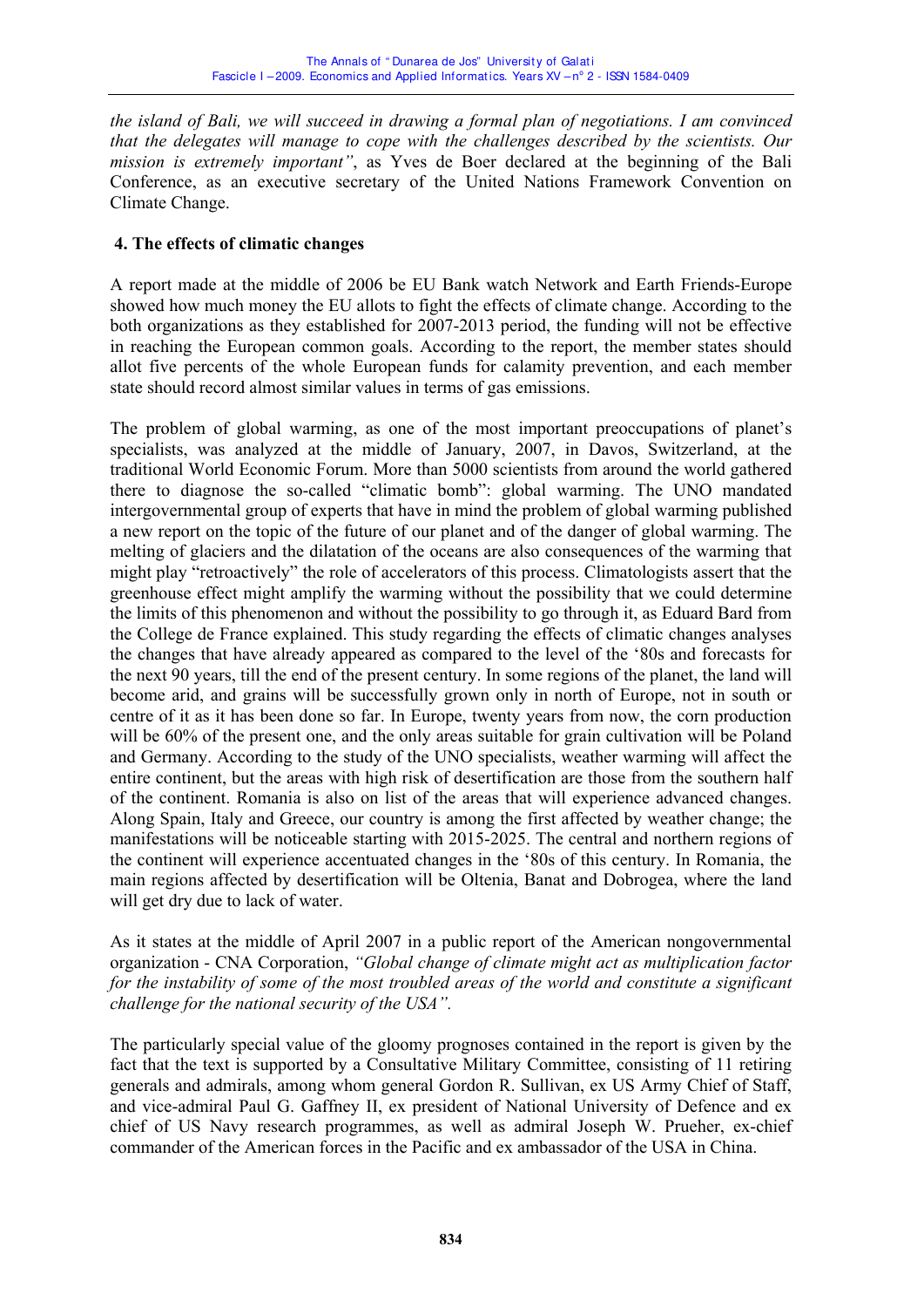*the island of Bali, we will succeed in drawing a formal plan of negotiations. I am convinced that the delegates will manage to cope with the challenges described by the scientists. Our mission is extremely important"*, as Yves de Boer declared at the beginning of the Bali Conference, as an executive secretary of the United Nations Framework Convention on Climate Change.

## **4. The effects of climatic changes**

A report made at the middle of 2006 be EU Bank watch Network and Earth Friends-Europe showed how much money the EU allots to fight the effects of climate change. According to the both organizations as they established for 2007-2013 period, the funding will not be effective in reaching the European common goals. According to the report, the member states should allot five percents of the whole European funds for calamity prevention, and each member state should record almost similar values in terms of gas emissions.

The problem of global warming, as one of the most important preoccupations of planet's specialists, was analyzed at the middle of January, 2007, in Davos, Switzerland, at the traditional World Economic Forum. More than 5000 scientists from around the world gathered there to diagnose the so-called "climatic bomb": global warming. The UNO mandated intergovernmental group of experts that have in mind the problem of global warming published a new report on the topic of the future of our planet and of the danger of global warming. The melting of glaciers and the dilatation of the oceans are also consequences of the warming that might play "retroactively" the role of accelerators of this process. Climatologists assert that the greenhouse effect might amplify the warming without the possibility that we could determine the limits of this phenomenon and without the possibility to go through it, as Eduard Bard from the College de France explained. This study regarding the effects of climatic changes analyses the changes that have already appeared as compared to the level of the '80s and forecasts for the next 90 years, till the end of the present century. In some regions of the planet, the land will become arid, and grains will be successfully grown only in north of Europe, not in south or centre of it as it has been done so far. In Europe, twenty years from now, the corn production will be 60% of the present one, and the only areas suitable for grain cultivation will be Poland and Germany. According to the study of the UNO specialists, weather warming will affect the entire continent, but the areas with high risk of desertification are those from the southern half of the continent. Romania is also on list of the areas that will experience advanced changes. Along Spain, Italy and Greece, our country is among the first affected by weather change; the manifestations will be noticeable starting with 2015-2025. The central and northern regions of the continent will experience accentuated changes in the '80s of this century. In Romania, the main regions affected by desertification will be Oltenia, Banat and Dobrogea, where the land will get dry due to lack of water.

As it states at the middle of April 2007 in a public report of the American nongovernmental organization - CNA Corporation, *"Global change of climate might act as multiplication factor for the instability of some of the most troubled areas of the world and constitute a significant challenge for the national security of the USA".* 

The particularly special value of the gloomy prognoses contained in the report is given by the fact that the text is supported by a Consultative Military Committee, consisting of 11 retiring generals and admirals, among whom general Gordon R. Sullivan, ex US Army Chief of Staff, and vice-admiral Paul G. Gaffney II, ex president of National University of Defence and ex chief of US Navy research programmes, as well as admiral Joseph W. Prueher, ex-chief commander of the American forces in the Pacific and ex ambassador of the USA in China.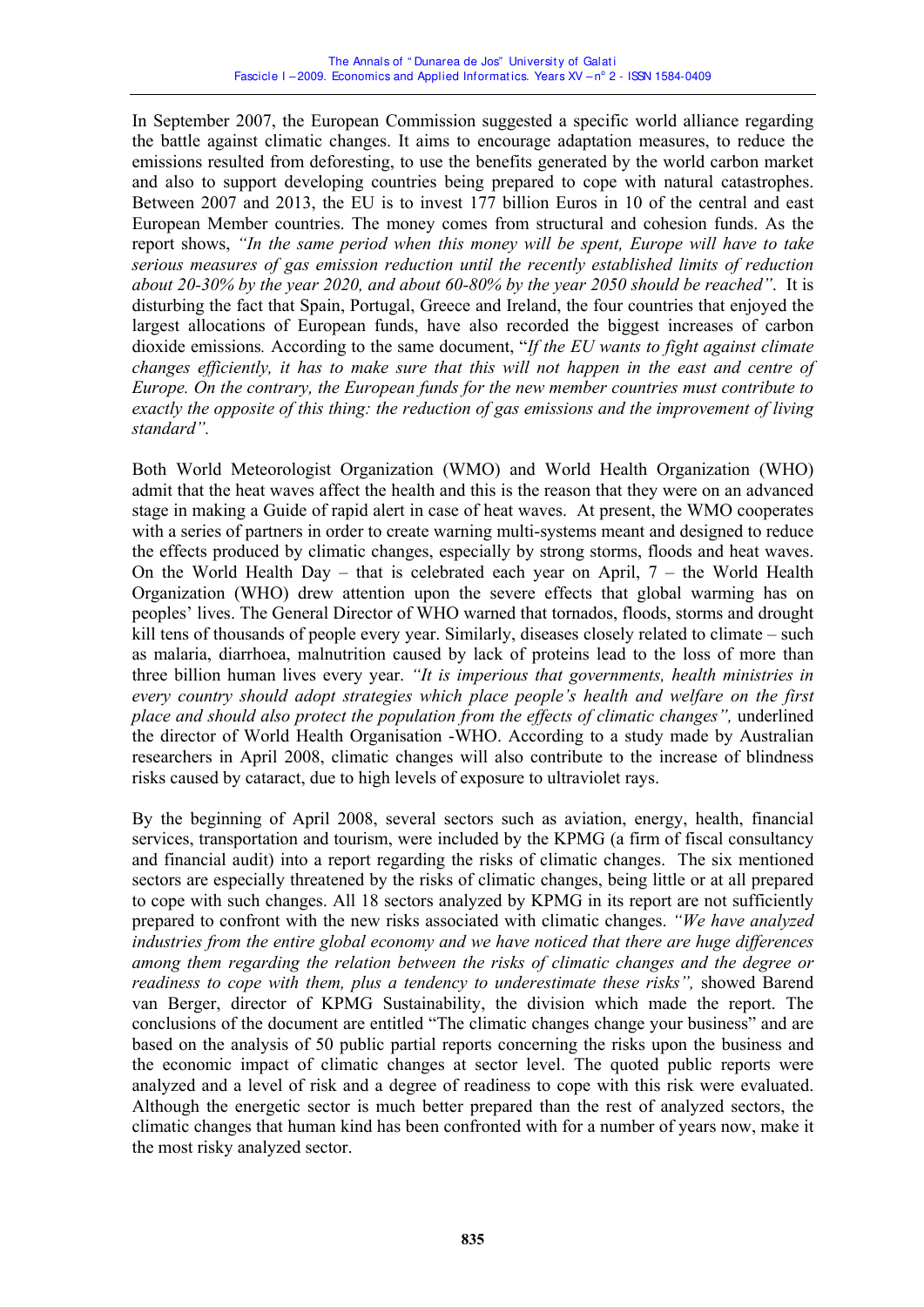In September 2007, the European Commission suggested a specific world alliance regarding the battle against climatic changes. It aims to encourage adaptation measures, to reduce the emissions resulted from deforesting, to use the benefits generated by the world carbon market and also to support developing countries being prepared to cope with natural catastrophes. Between 2007 and 2013, the EU is to invest 177 billion Euros in 10 of the central and east European Member countries. The money comes from structural and cohesion funds. As the report shows, *"In the same period when this money will be spent, Europe will have to take serious measures of gas emission reduction until the recently established limits of reduction about 20-30% by the year 2020, and about 60-80% by the year 2050 should be reached"*. It is disturbing the fact that Spain, Portugal, Greece and Ireland, the four countries that enjoyed the largest allocations of European funds, have also recorded the biggest increases of carbon dioxide emissions*.* According to the same document, "*If the EU wants to fight against climate changes efficiently, it has to make sure that this will not happen in the east and centre of Europe. On the contrary, the European funds for the new member countries must contribute to exactly the opposite of this thing: the reduction of gas emissions and the improvement of living standard".*

Both World Meteorologist Organization (WMO) and World Health Organization (WHO) admit that the heat waves affect the health and this is the reason that they were on an advanced stage in making a Guide of rapid alert in case of heat waves. At present, the WMO cooperates with a series of partners in order to create warning multi-systems meant and designed to reduce the effects produced by climatic changes, especially by strong storms, floods and heat waves. On the World Health Day – that is celebrated each year on April, 7 – the World Health Organization (WHO) drew attention upon the severe effects that global warming has on peoples' lives. The General Director of WHO warned that tornados, floods, storms and drought kill tens of thousands of people every year. Similarly, diseases closely related to climate – such as malaria, diarrhoea, malnutrition caused by lack of proteins lead to the loss of more than three billion human lives every year. *"It is imperious that governments, health ministries in every country should adopt strategies which place people's health and welfare on the first place and should also protect the population from the effects of climatic changes",* underlined the director of World Health Organisation -WHO. According to a study made by Australian researchers in April 2008, climatic changes will also contribute to the increase of blindness risks caused by cataract, due to high levels of exposure to ultraviolet rays.

By the beginning of April 2008, several sectors such as aviation, energy, health, financial services, transportation and tourism, were included by the KPMG (a firm of fiscal consultancy and financial audit) into a report regarding the risks of climatic changes. The six mentioned sectors are especially threatened by the risks of climatic changes, being little or at all prepared to cope with such changes. All 18 sectors analyzed by KPMG in its report are not sufficiently prepared to confront with the new risks associated with climatic changes. *"We have analyzed industries from the entire global economy and we have noticed that there are huge differences among them regarding the relation between the risks of climatic changes and the degree or readiness to cope with them, plus a tendency to underestimate these risks",* showed Barend van Berger, director of KPMG Sustainability, the division which made the report. The conclusions of the document are entitled "The climatic changes change your business" and are based on the analysis of 50 public partial reports concerning the risks upon the business and the economic impact of climatic changes at sector level. The quoted public reports were analyzed and a level of risk and a degree of readiness to cope with this risk were evaluated. Although the energetic sector is much better prepared than the rest of analyzed sectors, the climatic changes that human kind has been confronted with for a number of years now, make it the most risky analyzed sector.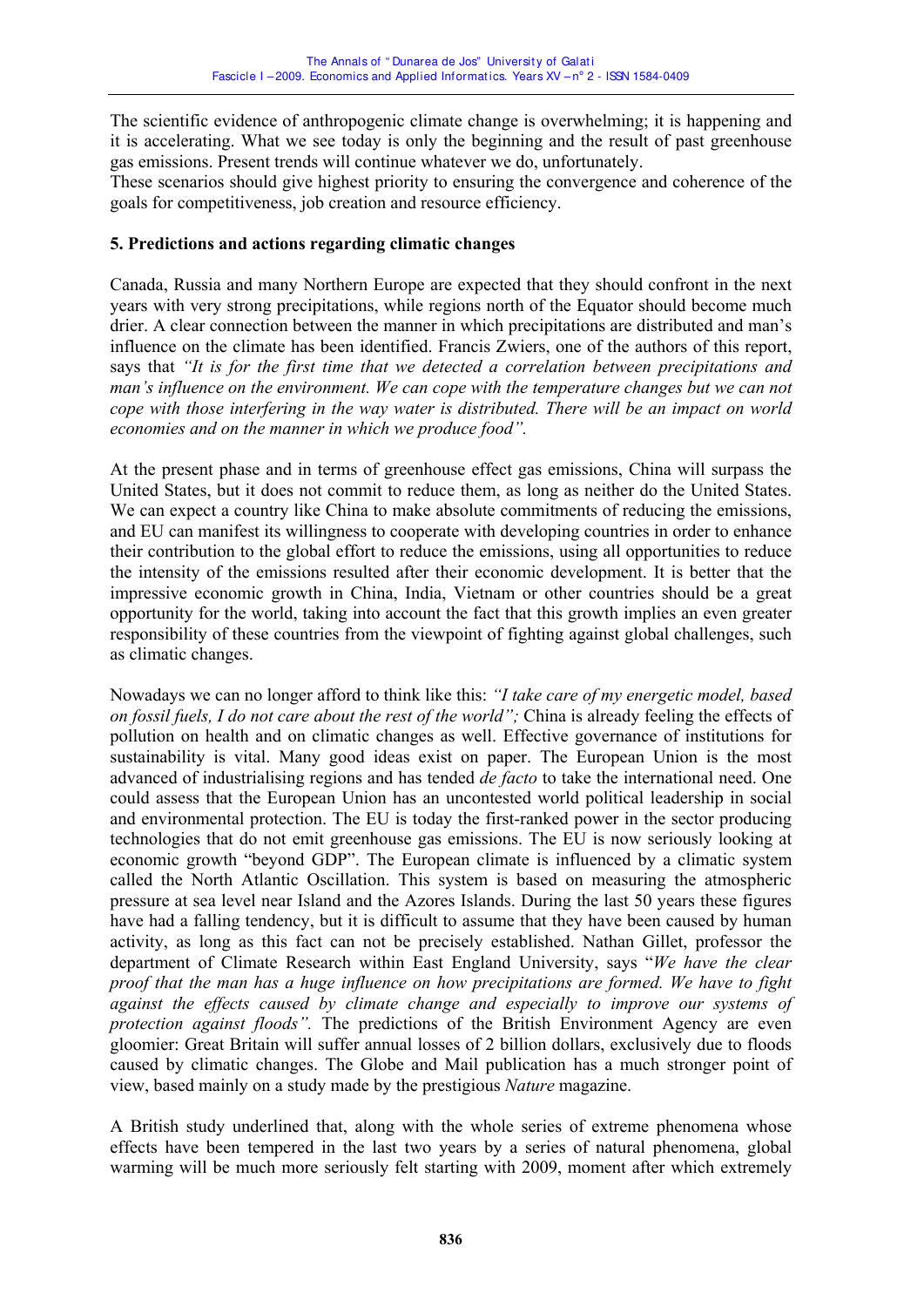The scientific evidence of anthropogenic climate change is overwhelming; it is happening and it is accelerating. What we see today is only the beginning and the result of past greenhouse gas emissions. Present trends will continue whatever we do, unfortunately.

These scenarios should give highest priority to ensuring the convergence and coherence of the goals for competitiveness, job creation and resource efficiency.

#### **5. Predictions and actions regarding climatic changes**

Canada, Russia and many Northern Europe are expected that they should confront in the next years with very strong precipitations, while regions north of the Equator should become much drier. A clear connection between the manner in which precipitations are distributed and man's influence on the climate has been identified. Francis Zwiers, one of the authors of this report, says that *"It is for the first time that we detected a correlation between precipitations and man's influence on the environment. We can cope with the temperature changes but we can not cope with those interfering in the way water is distributed. There will be an impact on world economies and on the manner in which we produce food".* 

At the present phase and in terms of greenhouse effect gas emissions, China will surpass the United States, but it does not commit to reduce them, as long as neither do the United States. We can expect a country like China to make absolute commitments of reducing the emissions, and EU can manifest its willingness to cooperate with developing countries in order to enhance their contribution to the global effort to reduce the emissions, using all opportunities to reduce the intensity of the emissions resulted after their economic development. It is better that the impressive economic growth in China, India, Vietnam or other countries should be a great opportunity for the world, taking into account the fact that this growth implies an even greater responsibility of these countries from the viewpoint of fighting against global challenges, such as climatic changes.

Nowadays we can no longer afford to think like this: *"I take care of my energetic model, based on fossil fuels, I do not care about the rest of the world";* China is already feeling the effects of pollution on health and on climatic changes as well. Effective governance of institutions for sustainability is vital. Many good ideas exist on paper. The European Union is the most advanced of industrialising regions and has tended *de facto* to take the international need. One could assess that the European Union has an uncontested world political leadership in social and environmental protection. The EU is today the first-ranked power in the sector producing technologies that do not emit greenhouse gas emissions. The EU is now seriously looking at economic growth "beyond GDP". The European climate is influenced by a climatic system called the North Atlantic Oscillation. This system is based on measuring the atmospheric pressure at sea level near Island and the Azores Islands. During the last 50 years these figures have had a falling tendency, but it is difficult to assume that they have been caused by human activity, as long as this fact can not be precisely established. Nathan Gillet, professor the department of Climate Research within East England University, says "*We have the clear proof that the man has a huge influence on how precipitations are formed. We have to fight against the effects caused by climate change and especially to improve our systems of protection against floods".* The predictions of the British Environment Agency are even gloomier: Great Britain will suffer annual losses of 2 billion dollars, exclusively due to floods caused by climatic changes. The Globe and Mail publication has a much stronger point of view, based mainly on a study made by the prestigious *Nature* magazine.

A British study underlined that, along with the whole series of extreme phenomena whose effects have been tempered in the last two years by a series of natural phenomena, global warming will be much more seriously felt starting with 2009, moment after which extremely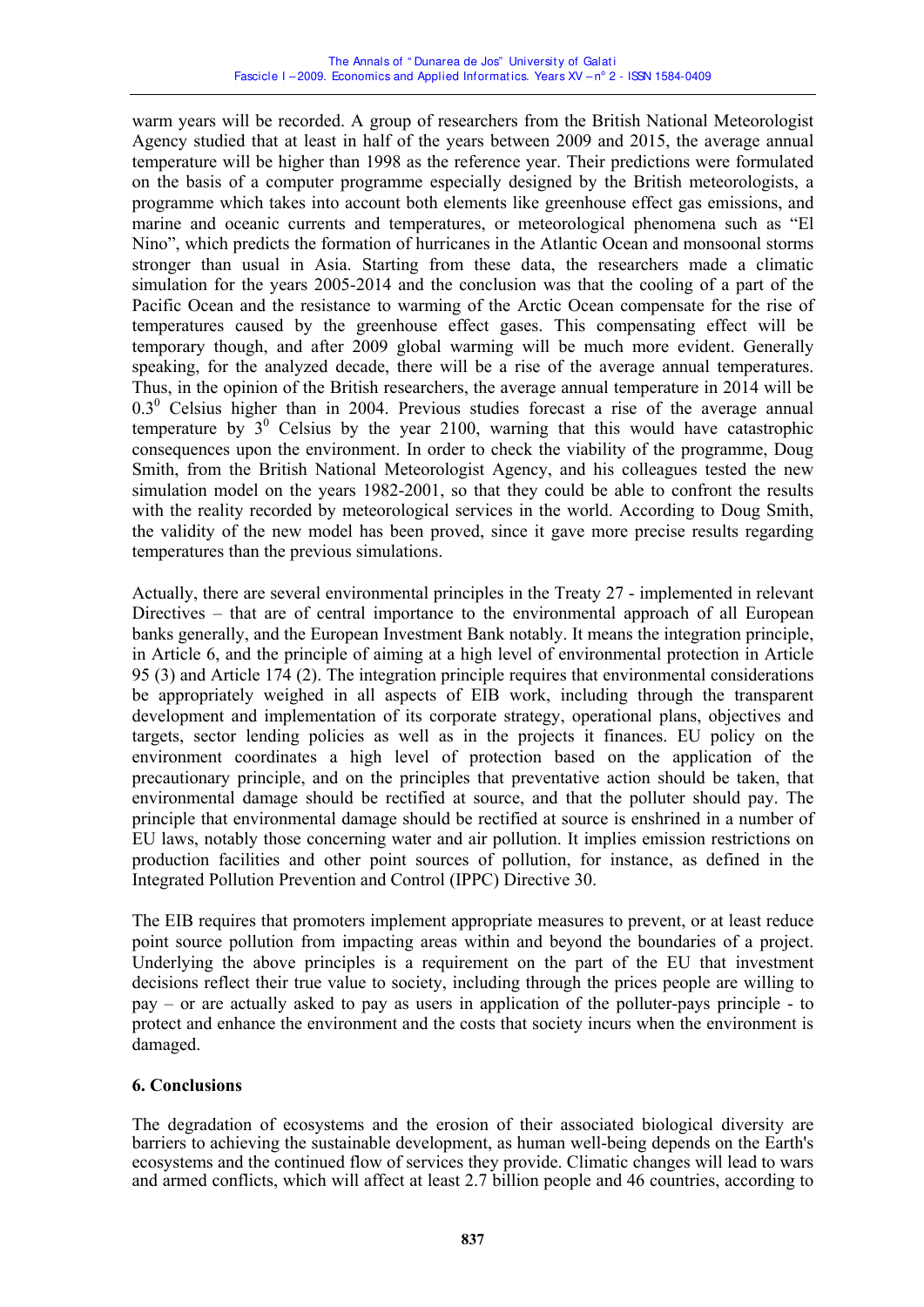warm years will be recorded. A group of researchers from the British National Meteorologist Agency studied that at least in half of the years between 2009 and 2015, the average annual temperature will be higher than 1998 as the reference year. Their predictions were formulated on the basis of a computer programme especially designed by the British meteorologists, a programme which takes into account both elements like greenhouse effect gas emissions, and marine and oceanic currents and temperatures, or meteorological phenomena such as "El Nino", which predicts the formation of hurricanes in the Atlantic Ocean and monsoonal storms stronger than usual in Asia. Starting from these data, the researchers made a climatic simulation for the years 2005-2014 and the conclusion was that the cooling of a part of the Pacific Ocean and the resistance to warming of the Arctic Ocean compensate for the rise of temperatures caused by the greenhouse effect gases. This compensating effect will be temporary though, and after 2009 global warming will be much more evident. Generally speaking, for the analyzed decade, there will be a rise of the average annual temperatures. Thus, in the opinion of the British researchers, the average annual temperature in 2014 will be  $0.3<sup>0</sup>$  Celsius higher than in 2004. Previous studies forecast a rise of the average annual temperature by  $3^0$  Celsius by the year 2100, warning that this would have catastrophic consequences upon the environment. In order to check the viability of the programme, Doug Smith, from the British National Meteorologist Agency, and his colleagues tested the new simulation model on the years 1982-2001, so that they could be able to confront the results with the reality recorded by meteorological services in the world. According to Doug Smith, the validity of the new model has been proved, since it gave more precise results regarding temperatures than the previous simulations.

Actually, there are several environmental principles in the Treaty 27 - implemented in relevant Directives – that are of central importance to the environmental approach of all European banks generally, and the European Investment Bank notably. It means the integration principle, in Article 6, and the principle of aiming at a high level of environmental protection in Article 95 (3) and Article 174 (2). The integration principle requires that environmental considerations be appropriately weighed in all aspects of EIB work, including through the transparent development and implementation of its corporate strategy, operational plans, objectives and targets, sector lending policies as well as in the projects it finances. EU policy on the environment coordinates a high level of protection based on the application of the precautionary principle, and on the principles that preventative action should be taken, that environmental damage should be rectified at source, and that the polluter should pay. The principle that environmental damage should be rectified at source is enshrined in a number of EU laws, notably those concerning water and air pollution. It implies emission restrictions on production facilities and other point sources of pollution, for instance, as defined in the Integrated Pollution Prevention and Control (IPPC) Directive 30.

The EIB requires that promoters implement appropriate measures to prevent, or at least reduce point source pollution from impacting areas within and beyond the boundaries of a project. Underlying the above principles is a requirement on the part of the EU that investment decisions reflect their true value to society, including through the prices people are willing to pay – or are actually asked to pay as users in application of the polluter-pays principle - to protect and enhance the environment and the costs that society incurs when the environment is damaged.

### **6. Conclusions**

The degradation of ecosystems and the erosion of their associated biological diversity are barriers to achieving the sustainable development, as human well-being depends on the Earth's ecosystems and the continued flow of services they provide. Climatic changes will lead to wars and armed conflicts, which will affect at least 2.7 billion people and 46 countries, according to